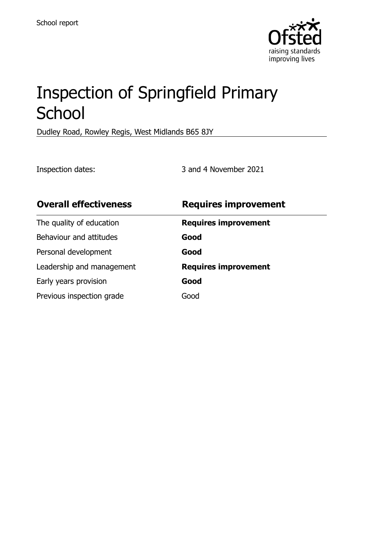

# Inspection of Springfield Primary **School**

Dudley Road, Rowley Regis, West Midlands B65 8JY

Inspection dates: 3 and 4 November 2021

| <b>Overall effectiveness</b> | <b>Requires improvement</b> |
|------------------------------|-----------------------------|
| The quality of education     | <b>Requires improvement</b> |
| Behaviour and attitudes      | Good                        |
| Personal development         | Good                        |
| Leadership and management    | <b>Requires improvement</b> |
| Early years provision        | Good                        |
| Previous inspection grade    | Good                        |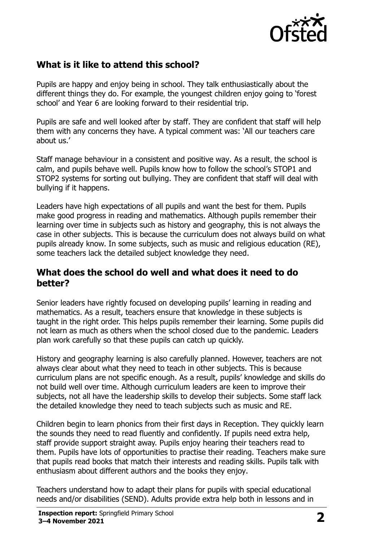

# **What is it like to attend this school?**

Pupils are happy and enjoy being in school. They talk enthusiastically about the different things they do. For example, the youngest children enjoy going to 'forest school' and Year 6 are looking forward to their residential trip.

Pupils are safe and well looked after by staff. They are confident that staff will help them with any concerns they have. A typical comment was: 'All our teachers care about us.'

Staff manage behaviour in a consistent and positive way. As a result, the school is calm, and pupils behave well. Pupils know how to follow the school's STOP1 and STOP2 systems for sorting out bullying. They are confident that staff will deal with bullying if it happens.

Leaders have high expectations of all pupils and want the best for them. Pupils make good progress in reading and mathematics. Although pupils remember their learning over time in subjects such as history and geography, this is not always the case in other subjects. This is because the curriculum does not always build on what pupils already know. In some subjects, such as music and religious education (RE), some teachers lack the detailed subject knowledge they need.

#### **What does the school do well and what does it need to do better?**

Senior leaders have rightly focused on developing pupils' learning in reading and mathematics. As a result, teachers ensure that knowledge in these subjects is taught in the right order. This helps pupils remember their learning. Some pupils did not learn as much as others when the school closed due to the pandemic. Leaders plan work carefully so that these pupils can catch up quickly.

History and geography learning is also carefully planned. However, teachers are not always clear about what they need to teach in other subjects. This is because curriculum plans are not specific enough. As a result, pupils' knowledge and skills do not build well over time. Although curriculum leaders are keen to improve their subjects, not all have the leadership skills to develop their subjects. Some staff lack the detailed knowledge they need to teach subjects such as music and RE.

Children begin to learn phonics from their first days in Reception. They quickly learn the sounds they need to read fluently and confidently. If pupils need extra help, staff provide support straight away. Pupils enjoy hearing their teachers read to them. Pupils have lots of opportunities to practise their reading. Teachers make sure that pupils read books that match their interests and reading skills. Pupils talk with enthusiasm about different authors and the books they enjoy.

Teachers understand how to adapt their plans for pupils with special educational needs and/or disabilities (SEND). Adults provide extra help both in lessons and in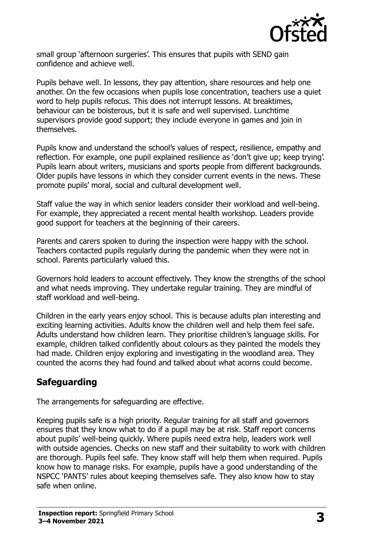

small group 'afternoon surgeries'. This ensures that pupils with SEND gain confidence and achieve well.

Pupils behave well. In lessons, they pay attention, share resources and help one another. On the few occasions when pupils lose concentration, teachers use a quiet word to help pupils refocus. This does not interrupt lessons. At breaktimes, behaviour can be boisterous, but it is safe and well supervised. Lunchtime supervisors provide good support; they include everyone in games and join in themselves.

Pupils know and understand the school's values of respect, resilience, empathy and reflection. For example, one pupil explained resilience as 'don't give up; keep trying'. Pupils learn about writers, musicians and sports people from different backgrounds. Older pupils have lessons in which they consider current events in the news. These promote pupils' moral, social and cultural development well.

Staff value the way in which senior leaders consider their workload and well-being. For example, they appreciated a recent mental health workshop. Leaders provide good support for teachers at the beginning of their careers.

Parents and carers spoken to during the inspection were happy with the school. Teachers contacted pupils regularly during the pandemic when they were not in school. Parents particularly valued this.

Governors hold leaders to account effectively. They know the strengths of the school and what needs improving. They undertake regular training. They are mindful of staff workload and well-being.

Children in the early years enjoy school. This is because adults plan interesting and exciting learning activities. Adults know the children well and help them feel safe. Adults understand how children learn. They prioritise children's language skills. For example, children talked confidently about colours as they painted the models they had made. Children enjoy exploring and investigating in the woodland area. They counted the acorns they had found and talked about what acorns could become.

# **Safeguarding**

The arrangements for safeguarding are effective.

Keeping pupils safe is a high priority. Regular training for all staff and governors ensures that they know what to do if a pupil may be at risk. Staff report concerns about pupils' well-being quickly. Where pupils need extra help, leaders work well with outside agencies. Checks on new staff and their suitability to work with children are thorough. Pupils feel safe. They know staff will help them when required. Pupils know how to manage risks. For example, pupils have a good understanding of the NSPCC 'PANTS' rules about keeping themselves safe. They also know how to stay safe when online.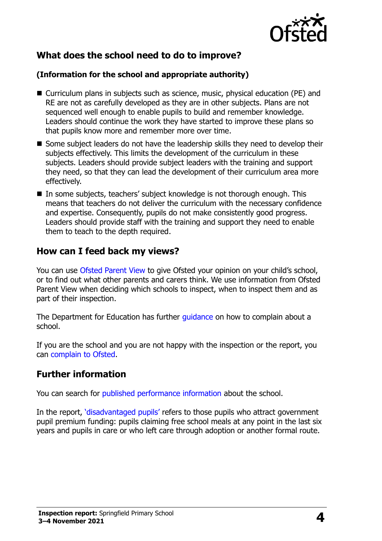

# **What does the school need to do to improve?**

#### **(Information for the school and appropriate authority)**

- Curriculum plans in subjects such as science, music, physical education (PE) and RE are not as carefully developed as they are in other subjects. Plans are not sequenced well enough to enable pupils to build and remember knowledge. Leaders should continue the work they have started to improve these plans so that pupils know more and remember more over time.
- $\blacksquare$  Some subject leaders do not have the leadership skills they need to develop their subjects effectively. This limits the development of the curriculum in these subjects. Leaders should provide subject leaders with the training and support they need, so that they can lead the development of their curriculum area more effectively.
- In some subjects, teachers' subject knowledge is not thorough enough. This means that teachers do not deliver the curriculum with the necessary confidence and expertise. Consequently, pupils do not make consistently good progress. Leaders should provide staff with the training and support they need to enable them to teach to the depth required.

#### **How can I feed back my views?**

You can use [Ofsted Parent View](http://parentview.ofsted.gov.uk/) to give Ofsted your opinion on your child's school, or to find out what other parents and carers think. We use information from Ofsted Parent View when deciding which schools to inspect, when to inspect them and as part of their inspection.

The Department for Education has further quidance on how to complain about a school.

If you are the school and you are not happy with the inspection or the report, you can [complain to Ofsted.](http://www.gov.uk/complain-ofsted-report)

#### **Further information**

You can search for [published performance information](http://www.compare-school-performance.service.gov.uk/) about the school.

In the report, '[disadvantaged pupils](http://www.gov.uk/guidance/pupil-premium-information-for-schools-and-alternative-provision-settings)' refers to those pupils who attract government pupil premium funding: pupils claiming free school meals at any point in the last six years and pupils in care or who left care through adoption or another formal route.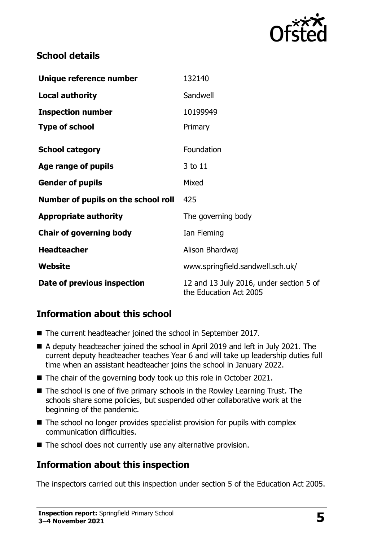

# **School details**

| Unique reference number             | 132140                                                            |  |
|-------------------------------------|-------------------------------------------------------------------|--|
| <b>Local authority</b>              | Sandwell                                                          |  |
| <b>Inspection number</b>            | 10199949                                                          |  |
| <b>Type of school</b>               | Primary                                                           |  |
| <b>School category</b>              | Foundation                                                        |  |
| Age range of pupils                 | 3 to 11                                                           |  |
| <b>Gender of pupils</b>             | Mixed                                                             |  |
| Number of pupils on the school roll | 425                                                               |  |
| <b>Appropriate authority</b>        | The governing body                                                |  |
| <b>Chair of governing body</b>      | Ian Fleming                                                       |  |
| <b>Headteacher</b>                  | Alison Bhardwaj                                                   |  |
| Website                             | www.springfield.sandwell.sch.uk/                                  |  |
| Date of previous inspection         | 12 and 13 July 2016, under section 5 of<br>the Education Act 2005 |  |

# **Information about this school**

- The current headteacher joined the school in September 2017.
- A deputy headteacher joined the school in April 2019 and left in July 2021. The current deputy headteacher teaches Year 6 and will take up leadership duties full time when an assistant headteacher joins the school in January 2022.
- The chair of the governing body took up this role in October 2021.
- The school is one of five primary schools in the Rowley Learning Trust. The schools share some policies, but suspended other collaborative work at the beginning of the pandemic.
- $\blacksquare$  The school no longer provides specialist provision for pupils with complex communication difficulties.
- The school does not currently use any alternative provision.

#### **Information about this inspection**

The inspectors carried out this inspection under section 5 of the Education Act 2005.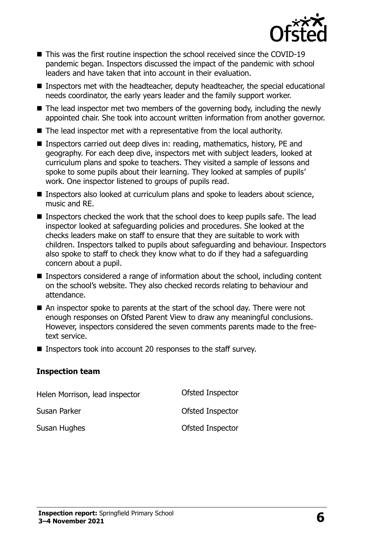

- This was the first routine inspection the school received since the COVID-19 pandemic began. Inspectors discussed the impact of the pandemic with school leaders and have taken that into account in their evaluation.
- Inspectors met with the headteacher, deputy headteacher, the special educational needs coordinator, the early years leader and the family support worker.
- $\blacksquare$  The lead inspector met two members of the governing body, including the newly appointed chair. She took into account written information from another governor.
- The lead inspector met with a representative from the local authority.
- Inspectors carried out deep dives in: reading, mathematics, history, PE and geography. For each deep dive, inspectors met with subject leaders, looked at curriculum plans and spoke to teachers. They visited a sample of lessons and spoke to some pupils about their learning. They looked at samples of pupils' work. One inspector listened to groups of pupils read.
- Inspectors also looked at curriculum plans and spoke to leaders about science, music and RE.
- Inspectors checked the work that the school does to keep pupils safe. The lead inspector looked at safeguarding policies and procedures. She looked at the checks leaders make on staff to ensure that they are suitable to work with children. Inspectors talked to pupils about safeguarding and behaviour. Inspectors also spoke to staff to check they know what to do if they had a safeguarding concern about a pupil.
- Inspectors considered a range of information about the school, including content on the school's website. They also checked records relating to behaviour and attendance.
- An inspector spoke to parents at the start of the school day. There were not enough responses on Ofsted Parent View to draw any meaningful conclusions. However, inspectors considered the seven comments parents made to the freetext service.
- Inspectors took into account 20 responses to the staff survey.

#### **Inspection team**

| Helen Morrison, lead inspector | Ofsted Inspector |
|--------------------------------|------------------|
| Susan Parker                   | Ofsted Inspector |
| Susan Hughes                   | Ofsted Inspector |